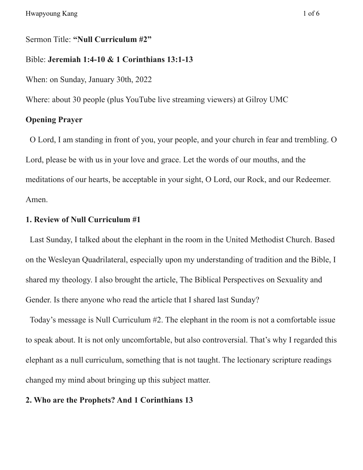# Sermon Title: **"Null Curriculum #2"**

#### Bible: **Jeremiah 1:4-10 & 1 Corinthians 13:1-13**

When: on Sunday, January 30th, 2022

Where: about 30 people (plus YouTube live streaming viewers) at Gilroy UMC

# **Opening Prayer**

O Lord, I am standing in front of you, your people, and your church in fear and trembling. O Lord, please be with us in your love and grace. Let the words of our mouths, and the meditations of our hearts, be acceptable in your sight, O Lord, our Rock, and our Redeemer. Amen.

# **1. Review of Null Curriculum #1**

Last Sunday, I talked about the elephant in the room in the United Methodist Church. Based on the Wesleyan Quadrilateral, especially upon my understanding of tradition and the Bible, I shared my theology. I also brought the article, The Biblical Perspectives on Sexuality and Gender. Is there anyone who read the article that I shared last Sunday?

Today's message is Null Curriculum #2. The elephant in the room is not a comfortable issue to speak about. It is not only uncomfortable, but also controversial. That's why I regarded this elephant as a null curriculum, something that is not taught. The lectionary scripture readings changed my mind about bringing up this subject matter.

# **2. Who are the Prophets? And 1 Corinthians 13**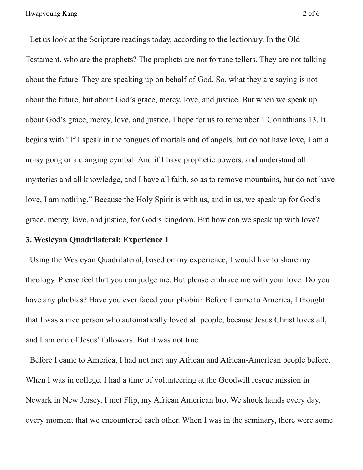Let us look at the Scripture readings today, according to the lectionary. In the Old Testament, who are the prophets? The prophets are not fortune tellers. They are not talking about the future. They are speaking up on behalf of God. So, what they are saying is not about the future, but about God's grace, mercy, love, and justice. But when we speak up about God's grace, mercy, love, and justice, I hope for us to remember 1 Corinthians 13. It begins with "If I speak in the tongues of mortals and of angels, but do not have love, I am a noisy gong or a clanging cymbal. And if I have prophetic powers, and understand all mysteries and all knowledge, and I have all faith, so as to remove mountains, but do not have love, I am nothing." Because the Holy Spirit is with us, and in us, we speak up for God's grace, mercy, love, and justice, for God's kingdom. But how can we speak up with love?

# **3. Wesleyan Quadrilateral: Experience 1**

Using the Wesleyan Quadrilateral, based on my experience, I would like to share my theology. Please feel that you can judge me. But please embrace me with your love. Do you have any phobias? Have you ever faced your phobia? Before I came to America, I thought that I was a nice person who automatically loved all people, because Jesus Christ loves all, and I am one of Jesus' followers. But it was not true.

Before I came to America, I had not met any African and African-American people before. When I was in college, I had a time of volunteering at the Goodwill rescue mission in Newark in New Jersey. I met Flip, my African American bro. We shook hands every day, every moment that we encountered each other. When I was in the seminary, there were some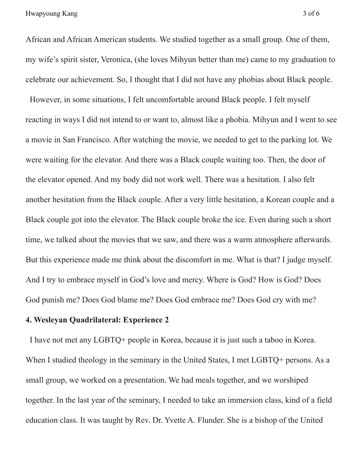African and African American students. We studied together as a small group. One of them, my wife's spirit sister, Veronica, (she loves Mihyun better than me) came to my graduation to celebrate our achievement. So, I thought that I did not have any phobias about Black people.

However, in some situations, I felt uncomfortable around Black people. I felt myself reacting in ways I did not intend to or want to, almost like a phobia. Mihyun and I went to see a movie in San Francisco. After watching the movie, we needed to get to the parking lot. We were waiting for the elevator. And there was a Black couple waiting too. Then, the door of the elevator opened. And my body did not work well. There was a hesitation. I also felt another hesitation from the Black couple. After a very little hesitation, a Korean couple and a Black couple got into the elevator. The Black couple broke the ice. Even during such a short time, we talked about the movies that we saw, and there was a warm atmosphere afterwards. But this experience made me think about the discomfort in me. What is that? I judge myself. And I try to embrace myself in God's love and mercy. Where is God? How is God? Does God punish me? Does God blame me? Does God embrace me? Does God cry with me?

### **4. Wesleyan Quadrilateral: Experience 2**

I have not met any LGBTQ+ people in Korea, because it is just such a taboo in Korea. When I studied theology in the seminary in the United States, I met LGBTQ+ persons. As a small group, we worked on a presentation. We had meals together, and we worshiped together. In the last year of the seminary, I needed to take an immersion class, kind of a field education class. It was taught by Rev. Dr. Yvette A. Flunder. She is a bishop of the United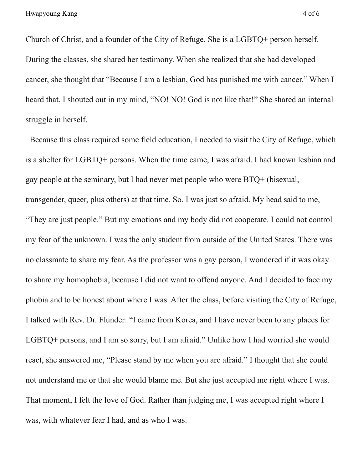Church of Christ, and a founder of the City of Refuge. She is a LGBTQ+ person herself. During the classes, she shared her testimony. When she realized that she had developed cancer, she thought that "Because I am a lesbian, God has punished me with cancer." When I heard that, I shouted out in my mind, "NO! NO! God is not like that!" She shared an internal struggle in herself.

Because this class required some field education, I needed to visit the City of Refuge, which is a shelter for LGBTQ+ persons. When the time came, I was afraid. I had known lesbian and gay people at the seminary, but I had never met people who were BTQ+ (bisexual, transgender, queer, plus others) at that time. So, I was just so afraid. My head said to me, "They are just people." But my emotions and my body did not cooperate. I could not control my fear of the unknown. I was the only student from outside of the United States. There was no classmate to share my fear. As the professor was a gay person, I wondered if it was okay to share my homophobia, because I did not want to offend anyone. And I decided to face my phobia and to be honest about where I was. After the class, before visiting the City of Refuge, I talked with Rev. Dr. Flunder: "I came from Korea, and I have never been to any places for LGBTQ+ persons, and I am so sorry, but I am afraid." Unlike how I had worried she would react, she answered me, "Please stand by me when you are afraid." I thought that she could not understand me or that she would blame me. But she just accepted me right where I was. That moment, I felt the love of God. Rather than judging me, I was accepted right where I was, with whatever fear I had, and as who I was.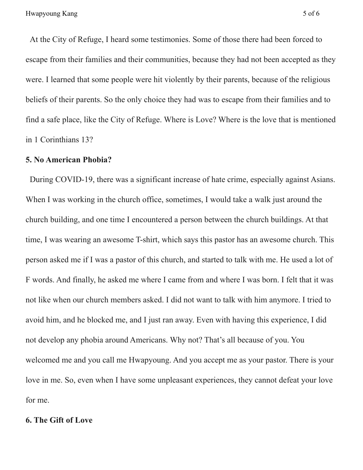At the City of Refuge, I heard some testimonies. Some of those there had been forced to escape from their families and their communities, because they had not been accepted as they were. I learned that some people were hit violently by their parents, because of the religious beliefs of their parents. So the only choice they had was to escape from their families and to find a safe place, like the City of Refuge. Where is Love? Where is the love that is mentioned in 1 Corinthians 13?

# **5. No American Phobia?**

During COVID-19, there was a significant increase of hate crime, especially against Asians. When I was working in the church office, sometimes, I would take a walk just around the church building, and one time I encountered a person between the church buildings. At that time, I was wearing an awesome T-shirt, which says this pastor has an awesome church. This person asked me if I was a pastor of this church, and started to talk with me. He used a lot of F words. And finally, he asked me where I came from and where I was born. I felt that it was not like when our church members asked. I did not want to talk with him anymore. I tried to avoid him, and he blocked me, and I just ran away. Even with having this experience, I did not develop any phobia around Americans. Why not? That's all because of you. You welcomed me and you call me Hwapyoung. And you accept me as your pastor. There is your love in me. So, even when I have some unpleasant experiences, they cannot defeat your love for me.

## **6. The Gift of Love**